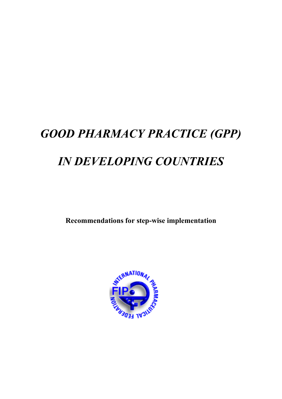# *GOOD PHARMACY PRACTICE (GPP) IN DEVELOPING COUNTRIES*

**Recommendations for step-wise implementation** 

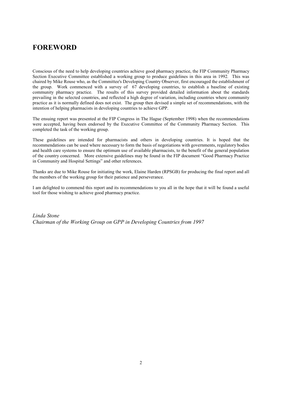# **FOREWORD**

Conscious of the need to help developing countries achieve good pharmacy practice, the FIP Community Pharmacy Section Executive Committee established a working group to produce guidelines in this area in 1992*.* This was chaired by Mike Rouse who, as the Committee's Developing Country Observer, first encouraged the establishment of the group. Work commenced with a survey of 67 developing countries, to establish a baseline of existing community pharmacy practice. The results of this survey provided detailed information about the standards prevailing in the selected countries, and reflected a high degree of variation, including countries where community practice as it is normally defined does not exist. The group then devised a simple set of recommendations, with the intention of helping pharmacists in developing countries to achieve GPP.

The ensuing report was presented at the FIP Congress in The Hague (September 1998) when the recommendations were accepted, having been endorsed by the Executive Committee of the Community Pharmacy Section. This completed the task of the working group.

These guidelines are intended for pharmacists and others in developing countries. It is hoped that the recommendations can be used where necessary to form the basis of negotiations with governments, regulatory bodies and health care systems to ensure the optimum use of available pharmacists, to the benefit of the general population of the country concerned. More extensive guidelines may be found in the FIP document "Good Pharmacy Practice in Community and Hospital Settings" and other references.

Thanks are due to Mike Rouse for initiating the work, Elaine Harden (RPSGB) for producing the final report and all the members of the working group for their patience and perseverance.

I am delighted to commend this report and its recommendations to you all in the hope that it will be found a useful tool for those wishing to achieve good pharmacy practice.

*Linda Stone Chairman of the Working Group on GPP in Developing Countries from 1997*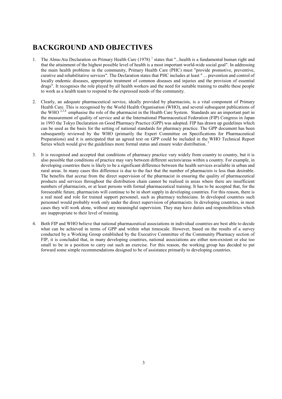# **BACKGROUND AND OBJECTIVES**

- 1. The Alma-Ata Declaration on Primary Health Care  $(1978)^{1}$  states that "...health is a fundamental human right and that the attainment of the highest possible level of health is a most important world-wide social goal". In addressing the main health problems in the community, Primary Health Care (PHC) must "provide promotive, preventive, curative and rehabilitative services". The Declaration states that PHC includes at least " ... prevention and control of locally endemic diseases, appropriate treatment of common diseases and injuries and the provision of essential drugs". It recognises the role played by all health workers and the need for suitable training to enable these people to work as a health team to respond to the expressed needs of the community.
- 2. Clearly, an adequate pharmaceutical service, ideally provided by pharmacists, is a vital component of Primary Health Care. This is recognised by the World Health Organisation (WHO), and several subsequent publications of the WHO <sup>2,3,4</sup> emphasise the role of the pharmacist in the Health Care System. Standards are an important part in the measurement of quality of service and at the International Pharmaceutical Federation (FIP) Congress in Japan in 1993 the Tokyo Declaration on Good Pharmacy Practice (GPP) was adopted. FIP has drawn up guidelines which can be used as the basis for the setting of national standards for pharmacy practice. The GPP document has been subsequently reviewed by the WHO (primarily the Expert Committee on Specifications for Pharmaceutical Preparations) and it is anticipated that an agreed text on GPP could be included in the WHO Technical Report Series which would give the guidelines more formal status and ensure wider distribution.
- 3. It is recognised and accepted that conditions of pharmacy practice vary widely from country to country, but it is also possible that conditions of practice may vary between different sectors/areas within a country. For example, in developing countries there is likely to be a significant difference between the health services available in urban and rural areas. In many cases this difference is due to the fact that the number of pharmacists is less than desirable. The benefits that accrue from the direct supervision of the pharmacist in ensuring the quality of pharmaceutical products and services throughout the distribution chain cannot be realised in areas where there are insufficient numbers of pharmacists, or at least persons with formal pharmaceutical training. It has to be accepted that, for the foreseeable future, pharmacists will continue to be in short supply in developing countries. For this reason, there is a real need and role for trained support personnel, such as pharmacy technicians. In developed countries such personnel would probably work only under the direct supervision of pharmacists. In developing countries, in most cases they will work alone, without any meaningful supervision. They may have duties and responsibilities which are inappropriate to their level of training.
- 4. Both FIP and WHO believe that national pharmaceutical associations in individual countries are best able to decide what can be achieved in terms of GPP and within what timescale. However, based on the results of a survey conducted by a Working Group established by the Executive Committee of the Community Pharmacy section of FIP, it is concluded that, in many developing countries, national associations are either non-existent or else too small to be in a position to carry out such an exercise. For this reason, the working group has decided to put forward some simple recommendations designed to be of assistance primarily to developing countries.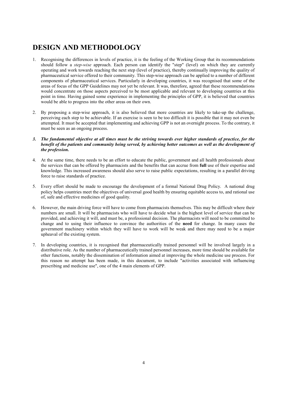# **DESIGN AND METHODOLOGY**

- 1. Recognising the differences in levels of practice, it is the feeling of the Working Group that its recommendations should follow a *step-wise* approach. Each person can identify the "step" (level) on which they are currently operating and work towards reaching the next step (level of practice), thereby continually improving the quality of pharmaceutical service offered to their community. This step-wise approach can be applied to a number of different components of pharmaceutical services. Particularly in developing countries, it was recognised that some of the areas of focus of the GPP Guidelines may not yet be relevant. It was, therefore, agreed that these recommendations would concentrate on those aspects perceived to be most applicable and relevant to developing countries at this point in time. Having gained some experience in implementing the principles of GPP, it is believed that countries would be able to progress into the other areas on their own.
- 2. By proposing a step-wise approach, it is also believed that more countries are likely to take-up the challenge, perceiving each step to be achievable. If an exercise is seen to be too difficult it is possible that it may not even be attempted. It must be accepted that implementing and achieving GPP is not an overnight process. To the contrary, it must be seen as an ongoing process.
- *3. The fundamental objective at all times must be the striving towards ever higher standards of practice, for the benefit of the patients and community being served, by achieving better outcomes as well as the development of the profession.*
- 4. At the same time, there needs to be an effort to educate the public, government and all health professionals about the services that can be offered by pharmacists and the benefits that can accrue from **full** use of their expertise and knowledge. This increased awareness should also serve to raise public expectations, resulting in a parallel driving force to raise standards of practice.
- 5. Every effort should be made to encourage the development of a formal National Drug Policy. A national drug policy helps countries meet the objectives of universal good health by ensuring equitable access to, and rational use of, safe and effective medicines of good quality.
- 6. However, the main driving force will have to come from pharmacists themselves. This may be difficult where their numbers are small. It will be pharmacists who will have to decide what is the highest level of service that can be provided, and achieving it will, and must be, a professional decision. The pharmacists will need to be committed to change and to using their influence to convince the authorities of the **need** for change. In many cases the government machinery within which they will have to work will be weak and there may need to be a major upheaval of the existing system.
- 7. In developing countries, it is recognised that pharmaceutically trained personnel will be involved largely in a distributive role. As the number of pharmaceutically trained personnel increases, more time should be available for other functions, notably the dissemination of information aimed at improving the whole medicine use process. For this reason no attempt has been made, in this document, to include "activities associated with influencing prescribing and medicine use", one of the 4 main elements of GPP.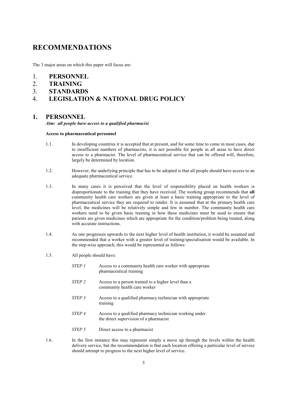## **RECOMMENDATIONS**

The 3 major areas on which this paper will focus are:

- 1. **PERSONNEL**
- 2. **TRAINING**
- 3. **STANDARDS**

## 4. **LEGISLATION & NATIONAL DRUG POLICY**

#### **1. PERSONNEL**

*Aim: all people have access to a qualified pharmacist* 

#### **Access to pharmaceutical personnel**

- 1.1. In developing countries it is accepted that at present, and for some time to come in most cases, due to insufficient numbers of pharmacists, it is not possible for people in all areas to have direct access to a pharmacist. The level of pharmaceutical service that can be offered will, therefore, largely be determined by location.
- 1.2. However, the underlying principle that has to be adopted is that all people should have access to an adequate pharmaceutical service.
- 1.3. In many cases it is perceived that the level of responsibility placed on health workers is disproportionate to the training that they have received. The working group recommends that **all** community health care workers are given at least a basic training appropriate to the level of pharmaceutical service they are required to render. It is assumed that at the primary health care level, the medicines will be relatively simple and few in number. The community health care workers need to be given basic training in how these medicines must be used to ensure that patients are given medicines which are appropriate for the condition/problem being treated, along with accurate instructions.
- 1.4. As one progresses upwards to the next higher level of health institution, it would be assumed and recommended that a worker with a greater level of training/specialisation would be available. In the step-wise approach, this would be represented as follows:
- 1.5. All people should have:
	- *STEP 1* Access to a community health care worker with appropriate pharmaceutical training
	- *STEP 2* Access to a person trained to a higher level than a community health care worker
	- *STEP 3* Access to a qualified pharmacy technician with appropriate training
	- *STEP 4* Access to a qualified pharmacy technician working under the direct supervision of a pharmacist
	- *STEP 5* Direct access to a pharmacist
- 1.6. In the first instance this may represent simply a move up through the levels within the health delivery service, but the recommendation is that each location offering a particular level of service should attempt to progress to the next higher level of service.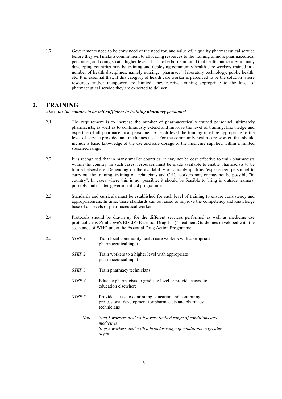1.7. Governments need to be convinced of the need for, and value of, a quality pharmaceutical service before they will make a commitment to allocating resources to the training of more pharmaceutical personnel, and doing so at a higher level. It has to be borne in mind that health authorities in many developing countries may be training and deploying community health care workers trained in a number of health disciplines, namely nursing, "pharmacy", laboratory technology, public health, etc. It is essential that, if this category of health care worker is perceived to be the solution where resources and/or manpower are limited, they receive training appropriate to the level of pharmaceutical service they are expected to deliver.

### **2. TRAINING**

#### *Aim: for the country to be self-sufficient in training pharmacy personnel*

- 2.1. The requirement is to increase the number of pharmaceutically trained personnel, ultimately pharmacists, as well as to continuously extend and improve the level of training, knowledge and expertise of all pharmaceutical personnel. At each level the training must be appropriate to the level of service provided and medicines used. For the community health care worker, this should include a basic knowledge of the use and safe dosage of the medicine supplied within a limited specified range.
- 2.2. It is recognised that in many smaller countries, it may not be cost effective to train pharmacists within the country. In such cases, resources must be made available to enable pharmacists to be trained elsewhere. Depending on the availability of suitably qualified/experienced personnel to carry out the training, training of technicians and CHC workers may or may not be possible "in country". In cases where this is not possible, it should be feasible to bring in outside trainers, possibly under inter-government aid programmes.
- 2.3. Standards and curricula must be established for each level of training to ensure consistency and appropriateness. In time, these standards can be raised to improve the competency and knowledge base of all levels of pharmaceutical workers.
- 2.4. Protocols should be drawn up for the different services performed as well as medicine use protocols, e.g. Zimbabwe's EDLIZ (Essential Drug List) Treatment Guidelines developed with the assistance of WHO under the Essential Drug Action Programme.
- *2.5. STEP 1* Train local community health care workers with appropriate pharmaceutical input
	- *STEP 2* Train workers to a higher level with appropriate pharmaceutical input
	- *STEP 3* Train pharmacy technicians
	- *STEP 4* Educate pharmacists to graduate level or provide access to education elsewhere
	- *STEP 5* Provide access to continuing education and continuing professional development for pharmacists and pharmacy technicians
		- *Note: Step 1 workers deal with a very limited range of conditions and medicines. Step 2 workers deal with a broader range of conditions in greater depth.*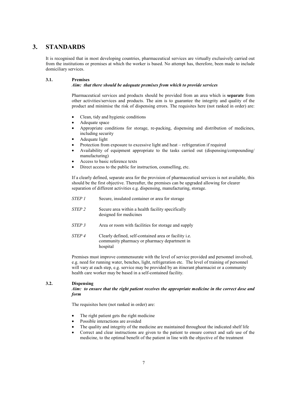## **3. STANDARDS**

It is recognised that in most developing countries, pharmaceutical services are virtually exclusively carried out from the institutions or premises at which the worker is based. No attempt has, therefore, been made to include domiciliary services.

#### **3.1. Premises**

#### *Aim: that there should be adequate premises from which to provide services*

Pharmaceutical services and products should be provided from an area which is **separate** from other activities/services and products. The aim is to guarantee the integrity and quality of the product and minimise the risk of dispensing errors. The requisites here (not ranked in order) are:

- Clean, tidy and hygienic conditions
- Adequate space
- Appropriate conditions for storage, re-packing, dispensing and distribution of medicines, including security
- Adequate light
- Protection from exposure to excessive light and heat refrigeration if required
- Availability of equipment appropriate to the tasks carried out (dispensing/compounding/ manufacturing)
- Access to basic reference texts
- Direct access to the public for instruction, counselling, etc.

If a clearly defined, separate area for the provision of pharmaceutical services is not available, this should be the first objective. Thereafter, the premises can be upgraded allowing for clearer separation of different activities e.g. dispensing, manufacturing, storage.

- *STEP 1* Secure, insulated container or area for storage
- *STEP 2* Secure area within a health facility specifically designed for medicines
- *STEP 3* Area or room with facilities for storage and supply
- *STEP 4* Clearly defined, self-contained area or facility i.e. community pharmacy or pharmacy department in hospital

Premises must improve commensurate with the level of service provided and personnel involved, e.g. need for running water, benches, light, refrigeration etc. The level of training of personnel will vary at each step, e.g. service may be provided by an itinerant pharmacist or a community health care worker may be based in a self-contained facility.

#### **3.2. Dispensing**

#### *Aim: to ensure that the right patient receives the appropriate medicine in the correct dose and form*

The requisites here (not ranked in order) are:

- The right patient gets the right medicine
- Possible interactions are avoided
- The quality and integrity of the medicine are maintained throughout the indicated shelf life
- Correct and clear instructions are given to the patient to ensure correct and safe use of the medicine, to the optimal benefit of the patient in line with the objective of the treatment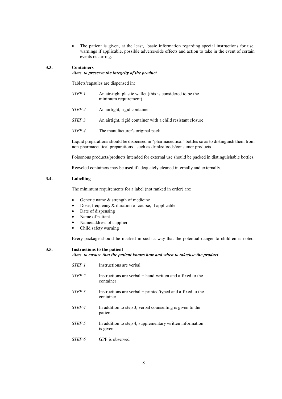• The patient is given, at the least, basic information regarding special instructions for use, warnings if applicable, possible adverse/side effects and action to take in the event of certain events occurring.

#### **3.3. Containers**

#### *Aim: to preserve the integrity of the product*

Tablets/capsules are dispensed in:

- *STEP 1* An air-tight plastic wallet (this is considered to be the minimum requirement)
- *STEP 2* An airtight, rigid container
- *STEP 3* An airtight, rigid container with a child resistant closure
- *STEP 4* The manufacturer's original pack

Liquid preparations should be dispensed in "pharmaceutical" bottles so as to distinguish them from non-pharmaceutical preparations - such as drinks/foods/consumer products

Poisonous products/products intended for external use should be packed in distinguishable bottles.

Recycled containers may be used if adequately cleaned internally and externally.

#### **3.4. Labelling**

The minimum requirements for a label (not ranked in order) are:

- Generic name  $&$  strength of medicine
- Dose, frequency  $&$  duration of course, if applicable
- Date of dispensing
- Name of patient
- Name/address of supplier
- Child safety warning

Every package should be marked in such a way that the potential danger to children is noted.

**3.5. Instructions to the patient**  *Aim: to ensure that the patient knows how and when to take/use the product* 

| <i>STEP 1</i>     | Instructions are verbal                                                  |
|-------------------|--------------------------------------------------------------------------|
| STEP <sub>2</sub> | Instructions are verbal $+$ hand-written and affixed to the<br>container |
| STEP <sub>3</sub> | Instructions are verbal + printed/typed and affixed to the<br>container  |
| STEP <sub>4</sub> | In addition to step 3, verbal counselling is given to the<br>patient     |
| STEP <sub>5</sub> | In addition to step 4, supplementary written information<br>is given     |
| STEP <sub>6</sub> | GPP is observed                                                          |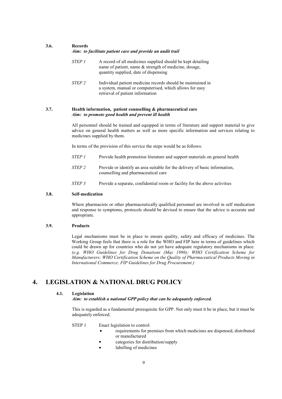#### **3.6. Records**

#### *Aim: to facilitate patient care and provide an audit trail*

- *STEP 1* A record of all medicines supplied should be kept detailing name of patient, name & strength of medicine, dosage, quantity supplied, date of dispensing
- *STEP 2* Individual patient medicine records should be maintained in a system, manual or computerised, which allows for easy retrieval of patient information

#### **3.7. Health information, patient counselling & pharmaceutical care**   *Aim: to promote good health and prevent ill health*

All personnel should be trained and equipped in terms of literature and support material to give advice on general health matters as well as more specific information and services relating to medicines supplied by them.

In terms of the provision of this service the steps would be as follows:

- *STEP 1* Provide health promotion literature and support materials on general health
- *STEP 2* Provide or identify an area suitable for the delivery of basic information, counselling and pharmaceutical care
- *STEP 3* Provide a separate, confidential room or facility for the above activities

#### **3.8. Self-medication**

Where pharmacists or other pharmaceutically qualified personnel are involved in self medication and response to symptoms, protocols should be devised to ensure that the advice is accurate and appropriate.

#### **3.9. Products**

Legal mechanisms must be in place to ensure quality, safety and efficacy of medicines. The Working Group feels that there is a role for the WHO and FIP here in terms of guidelines which could be drawn up for countries who do not yet have adequate regulatory mechanisms in place. *(e.g. WHO Guidelines for Drug Donations (May 1996); WHO Certification Scheme for Manufacturers; WHO Certification Scheme on the Quality of Pharmaceutical Products Moving in International Commerce; FIP Guidelines for Drug Procurement.)* 

## **4. LEGISLATION & NATIONAL DRUG POLICY**

#### **4.1. Legislation**

#### *Aim: to establish a national GPP policy that can be adequately enforced.*

This is regarded as a fundamental prerequisite for GPP. Not only must it be in place, but it must be adequately enforced.

#### STEP 1 Enact legislation to control:

- requirements for premises from which medicines are dispensed, distributed or manufactured
	- categories for distribution/supply
		- labelling of medicines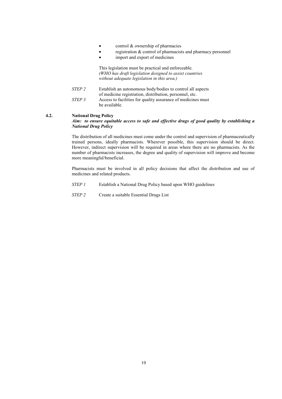- control & ownership of pharmacies
- registration & control of pharmacists and pharmacy personnel
- import and export of medicines

 This legislation must be practical and enforceable. *(WHO has draft legislation designed to assist countries without adequate legislation in this area.)*

- *STEP 2* Establish an autonomous body/bodies to control all aspects of medicine registration, distribution, personnel, etc. *STEP 3* Access to facilities for quality assurance of medicines must
- be available.

#### **4.2. National Drug Policy**

#### *Aim: to ensure equitable access to safe and effective drugs of good quality by establishing a National Drug Policy*

The distribution of all medicines must come under the control and supervision of pharmaceutically trained persons, ideally pharmacists. Wherever possible, this supervision should be direct. However, indirect supervision will be required in areas where there are no pharmacists. As the number of pharmacists increases, the degree and quality of supervision will improve and become more meaningful/beneficial.

Pharmacists must be involved in all policy decisions that affect the distribution and use of medicines and related products.

- *STEP 1* Establish a National Drug Policy based upon WHO guidelines
- *STEP 2* Create a suitable Essential Drugs List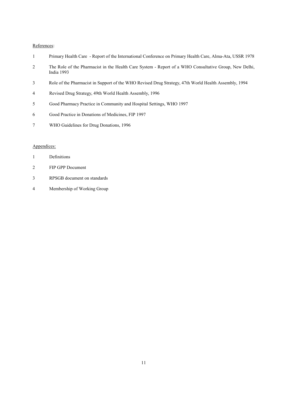#### References:

- 1 Primary Health Care Report of the International Conference on Primary Health Care, Alma-Ata, USSR 1978
- 2 The Role of the Pharmacist in the Health Care System Report of a WHO Consultative Group, New Delhi, India 1993
- 3 Role of the Pharmacist in Support of the WHO Revised Drug Strategy, 47th World Health Assembly, 1994
- 4 Revised Drug Strategy, 49th World Health Assembly, 1996
- 5 Good Pharmacy Practice in Community and Hospital Settings, WHO 1997
- 6 Good Practice in Donations of Medicines, FIP 1997
- 7 WHO Guidelines for Drug Donations, 1996

#### Appendices:

| Definitions |
|-------------|
|             |

- 2 FIP GPP Document
- 3 RPSGB document on standards
- 4 Membership of Working Group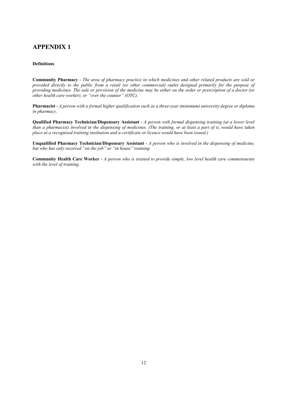## **APPENDIX 1**

#### **Definitions**

**Community Pharmacy** - *The area of pharmacy practice in which medicines and other related products are sold or provided directly to the public from a retail (or other commercial) outlet designed primarily for the purpose of providing medicines. The sale or provision of the medicine may be either on the order or prescription of a doctor (or other health care worker), or "over the counter" (OTC).*

**Pharmacist** - *A person with a formal higher qualification such as a three-year (minimum) university degree or diploma in pharmacy*.

**Qualified Pharmacy Technician/Dispensary Assistant** - *A person with formal dispensing training (at a lower level than a pharmacist) involved in the dispensing of medicines. (The training, or at least a part of it, would have taken place at a recognised training institution and a certificate or licence would have been issued.)* 

**Unqualified Pharmacy Technician/Dispensary Assistant** - *A person who is involved in the dispensing of medicine, but who has only received "on the job" or "in house" training.* 

**Community Health Care Worker** - *A person who is trained to provide simple, low level health care commensurate with the level of training.*